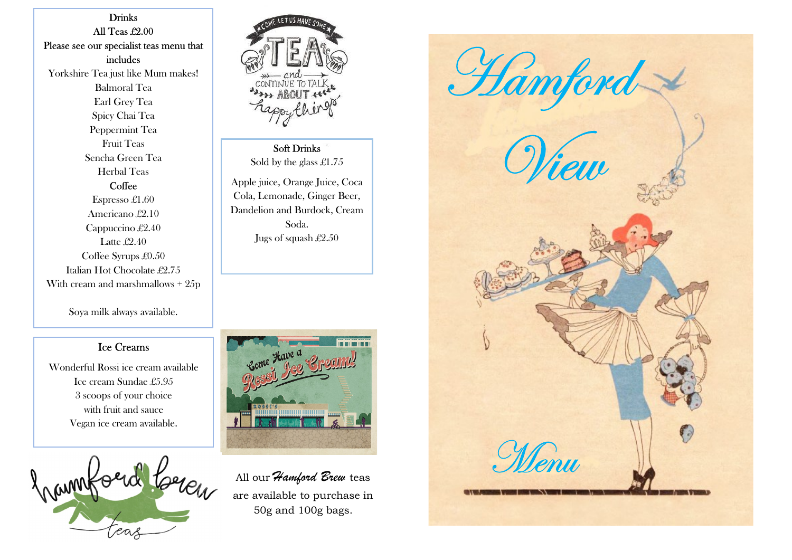Drinks All Teas £2.00 Please see our specialist teas menu that includes Yorkshire Tea just like Mum makes! Balmoral Tea Earl Grey Tea Spicy Chai Tea Peppermint Tea Fruit Teas Sencha Green Tea Herbal Teas **Coffee** Espresso £1.60 Americano £2.10 Cappuccino £2.40 Latte £2.40 Coffee Syrups £0.50 Italian Hot Chocolate £2.75

With cream and marshmallows + 25p

Soya milk always available.

## Ice Creams

Wonderful Rossi ice cream available Ice cream Sundae £5.95 3 scoops of your choice with fruit and sauce Vegan ice cream available.





Soft Drinks Sold by the glass £1.75

Apple juice, Orange Juice, Coca Cola, Lemonade, Ginger Beer, Dandelion and Burdock, Cream Soda. Jugs of squash £2.50



All our Hamford Brew teas are available to purchase in 50g and 100g bags.